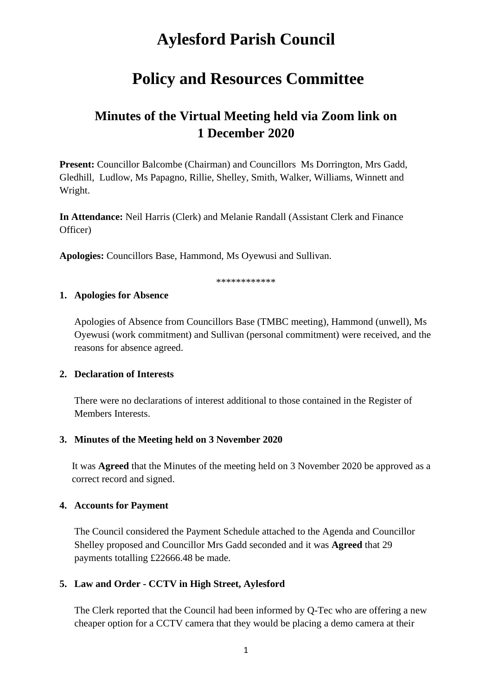# **Aylesford Parish Council**

## **Policy and Resources Committee**

## **Minutes of the Virtual Meeting held via Zoom link on 1 December 2020**

**Present:** Councillor Balcombe (Chairman) and Councillors Ms Dorrington, Mrs Gadd, Gledhill, Ludlow, Ms Papagno, Rillie, Shelley, Smith, Walker, Williams, Winnett and Wright.

**In Attendance:** Neil Harris (Clerk) and Melanie Randall (Assistant Clerk and Finance Officer)

**Apologies:** Councillors Base, Hammond, Ms Oyewusi and Sullivan.

\*\*\*\*\*\*\*\*\*\*\*\*

#### **1. Apologies for Absence**

Apologies of Absence from Councillors Base (TMBC meeting), Hammond (unwell), Ms Oyewusi (work commitment) and Sullivan (personal commitment) were received, and the reasons for absence agreed.

### **2. Declaration of Interests**

There were no declarations of interest additional to those contained in the Register of Members Interests.

### **3. Minutes of the Meeting held on 3 November 2020**

It was **Agreed** that the Minutes of the meeting held on 3 November 2020 be approved as a correct record and signed.

### **4. Accounts for Payment**

The Council considered the Payment Schedule attached to the Agenda and Councillor Shelley proposed and Councillor Mrs Gadd seconded and it was **Agreed** that 29 payments totalling £22666.48 be made.

### **5. Law and Order - CCTV in High Street, Aylesford**

The Clerk reported that the Council had been informed by Q-Tec who are offering a new cheaper option for a CCTV camera that they would be placing a demo camera at their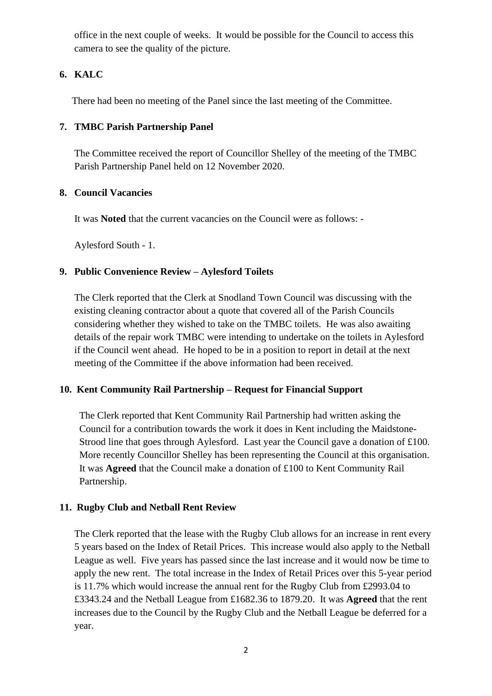office in the next couple of weeks. It would be possible for the Council to access this camera to see the quality of the picture.

## **6. KALC**

There had been no meeting of the Panel since the last meeting of the Committee.

## **7. TMBC Parish Partnership Panel**

The Committee received the report of Councillor Shelley of the meeting of the TMBC Parish Partnership Panel held on 12 November 2020.

## **8. Council Vacancies**

It was **Noted** that the current vacancies on the Council were as follows: -

Aylesford South - 1.

## **9. Public Convenience Review – Aylesford Toilets**

The Clerk reported that the Clerk at Snodland Town Council was discussing with the existing cleaning contractor about a quote that covered all of the Parish Councils considering whether they wished to take on the TMBC toilets. He was also awaiting details of the repair work TMBC were intending to undertake on the toilets in Aylesford if the Council went ahead. He hoped to be in a position to report in detail at the next meeting of the Committee if the above information had been received.

## **10. Kent Community Rail Partnership – Request for Financial Support**

The Clerk reported that Kent Community Rail Partnership had written asking the Council for a contribution towards the work it does in Kent including the Maidstone-Strood line that goes through Aylesford. Last year the Council gave a donation of £100. More recently Councillor Shelley has been representing the Council at this organisation. It was **Agreed** that the Council make a donation of £100 to Kent Community Rail Partnership.

## **11. Rugby Club and Netball Rent Review**

The Clerk reported that the lease with the Rugby Club allows for an increase in rent every 5 years based on the Index of Retail Prices. This increase would also apply to the Netball League as well. Five years has passed since the last increase and it would now be time to apply the new rent. The total increase in the Index of Retail Prices over this 5-year period is 11.7% which would increase the annual rent for the Rugby Club from £2993.04 to £3343.24 and the Netball League from £1682.36 to 1879.20. It was **Agreed** that the rent increases due to the Council by the Rugby Club and the Netball League be deferred for a year.